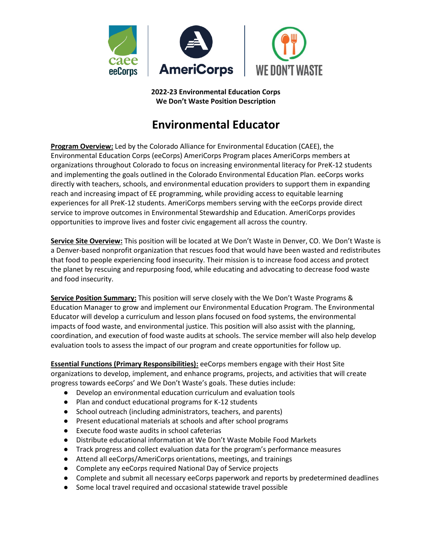

**2022-23 Environmental Education Corps We Don't Waste Position Description**

# **Environmental Educator**

**Program Overview:** Led by the Colorado Alliance for Environmental Education (CAEE), the Environmental Education Corps (eeCorps) AmeriCorps Program places AmeriCorps members at organizations throughout Colorado to focus on increasing environmental literacy for PreK-12 students and implementing the goals outlined in the Colorado Environmental Education Plan. eeCorps works directly with teachers, schools, and environmental education providers to support them in expanding reach and increasing impact of EE programming, while providing access to equitable learning experiences for all PreK-12 students. AmeriCorps members serving with the eeCorps provide direct service to improve outcomes in Environmental Stewardship and Education. AmeriCorps provides opportunities to improve lives and foster civic engagement all across the country.

**Service Site Overview:** This position will be located at We Don't Waste in Denver, CO. We Don't Waste is a Denver-based nonprofit organization that rescues food that would have been wasted and redistributes that food to people experiencing food insecurity. Their mission is to increase food access and protect the planet by rescuing and repurposing food, while educating and advocating to decrease food waste and food insecurity.

**Service Position Summary:** This position will serve closely with the We Don't Waste Programs & Education Manager to grow and implement our Environmental Education Program. The Environmental Educator will develop a curriculum and lesson plans focused on food systems, the environmental impacts of food waste, and environmental justice. This position will also assist with the planning, coordination, and execution of food waste audits at schools. The service member will also help develop evaluation tools to assess the impact of our program and create opportunities for follow up.

**Essential Functions (Primary Responsibilities):** eeCorps members engage with their Host Site organizations to develop, implement, and enhance programs, projects, and activities that will create progress towards eeCorps' and We Don't Waste's goals. These duties include:

- Develop an environmental education curriculum and evaluation tools
- Plan and conduct educational programs for K-12 students
- School outreach (including administrators, teachers, and parents)
- Present educational materials at schools and after school programs
- Execute food waste audits in school cafeterias
- Distribute educational information at We Don't Waste Mobile Food Markets
- Track progress and collect evaluation data for the program's performance measures
- Attend all eeCorps/AmeriCorps orientations, meetings, and trainings
- Complete any eeCorps required National Day of Service projects
- Complete and submit all necessary eeCorps paperwork and reports by predetermined deadlines
- Some local travel required and occasional statewide travel possible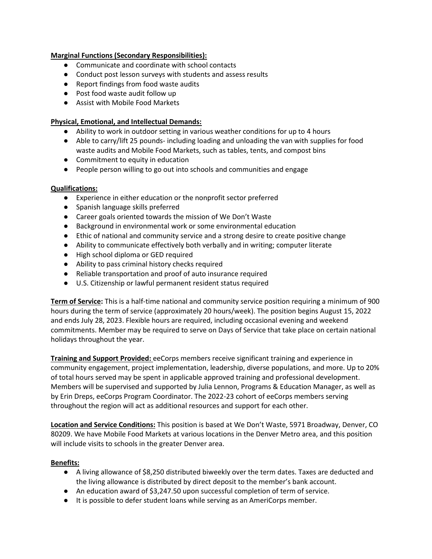### **Marginal Functions (Secondary Responsibilities):**

- Communicate and coordinate with school contacts
- Conduct post lesson surveys with students and assess results
- Report findings from food waste audits
- Post food waste audit follow up
- Assist with Mobile Food Markets

### **Physical, Emotional, and Intellectual Demands:**

- Ability to work in outdoor setting in various weather conditions for up to 4 hours
- Able to carry/lift 25 pounds- including loading and unloading the van with supplies for food waste audits and Mobile Food Markets, such as tables, tents, and compost bins
- Commitment to equity in education
- People person willing to go out into schools and communities and engage

## **Qualifications:**

- Experience in either education or the nonprofit sector preferred
- Spanish language skills preferred
- Career goals oriented towards the mission of We Don't Waste
- Background in environmental work or some environmental education
- Ethic of national and community service and a strong desire to create positive change
- Ability to communicate effectively both verbally and in writing; computer literate
- High school diploma or GED required
- Ability to pass criminal history checks required
- Reliable transportation and proof of auto insurance required
- U.S. Citizenship or lawful permanent resident status required

**Term of Service:** This is a half-time national and community service position requiring a minimum of 900 hours during the term of service (approximately 20 hours/week). The position begins August 15, 2022 and ends July 28, 2023. Flexible hours are required, including occasional evening and weekend commitments. Member may be required to serve on Days of Service that take place on certain national holidays throughout the year.

**Training and Support Provided:** eeCorps members receive significant training and experience in community engagement, project implementation, leadership, diverse populations, and more. Up to 20% of total hours served may be spent in applicable approved training and professional development. Members will be supervised and supported by Julia Lennon, Programs & Education Manager, as well as by Erin Dreps, eeCorps Program Coordinator. The 2022-23 cohort of eeCorps members serving throughout the region will act as additional resources and support for each other.

**Location and Service Conditions:** This position is based at We Don't Waste, 5971 Broadway, Denver, CO 80209. We have Mobile Food Markets at various locations in the Denver Metro area, and this position will include visits to schools in the greater Denver area.

#### **Benefits:**

- A living allowance of \$8,250 distributed biweekly over the term dates. Taxes are deducted and the living allowance is distributed by direct deposit to the member's bank account.
- An education award of \$3,247.50 upon successful completion of term of service.
- It is possible to defer student loans while serving as an AmeriCorps member.